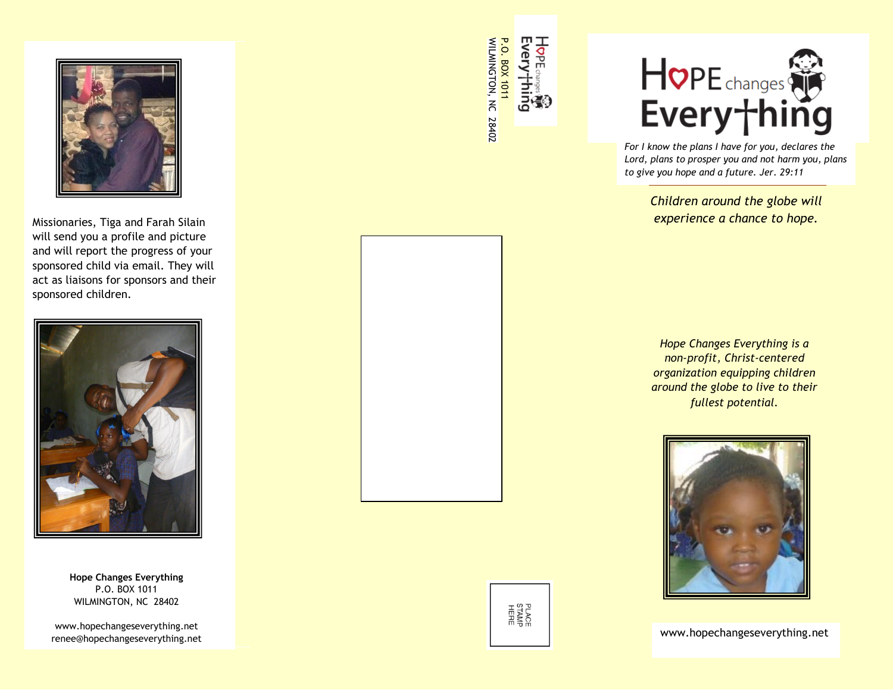

Missionaries, Tiga and Farah Silain will send you a profile and picture and will report the progress of your sponsored child via email. They will act as liaisons for sponsors and their sponsored children.



**Hope Changes Everything** P.O. BOX 1011 WILMINGTON, NC 28402

www.hopechangeseverything.net renee@hopechangeseverything.net www.hopechangeseverything.net

НорЕ Every<sup>+</sup>hing WILMINGTON, NC 28402 WILMINGTON, NC **P.O. BOX 1011** P.O. BOX 1011



*For I know the plans I have for you, declares the Lord, plans to prosper you and not harm you, plans to give you hope and a future. Jer. 29:11*

> *Children around the globe will experience a chance to hope.*

*Hope Changes Everything is a non-profit, Christ-centered organization equipping children around the globe to live to their fullest potential.*



PLACE<br>STAMP<br>HERE